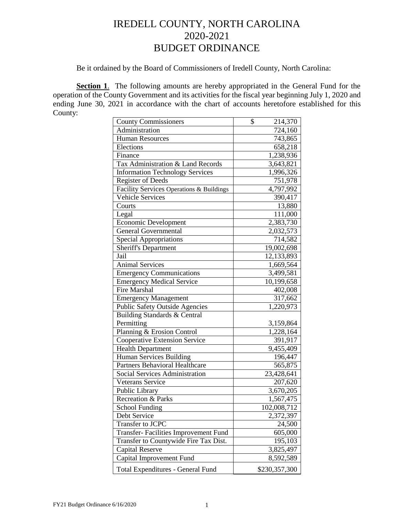# IREDELL COUNTY, NORTH CAROLINA 2020-2021 BUDGET ORDINANCE

Be it ordained by the Board of Commissioners of Iredell County, North Carolina:

**Section 1.** The following amounts are hereby appropriated in the General Fund for the operation of the County Government and its activities for the fiscal year beginning July 1, 2020 and ending June 30, 2021 in accordance with the chart of accounts heretofore established for this County:

| <b>County Commissioners</b>              | 214,370<br>\$ |
|------------------------------------------|---------------|
| Administration                           | 724,160       |
| <b>Human Resources</b>                   | 743,865       |
| Elections                                | 658,218       |
| Finance                                  | 1,238,936     |
| Tax Administration & Land Records        | 3,643,821     |
| <b>Information Technology Services</b>   | 1,996,326     |
| <b>Register of Deeds</b>                 | 751,978       |
| Facility Services Operations & Buildings | 4,797,992     |
| <b>Vehicle Services</b>                  | 390,417       |
| Courts                                   | 13,880        |
| Legal                                    | 111,000       |
| <b>Economic Development</b>              | 2,383,730     |
| <b>General Governmental</b>              | 2,032,573     |
| <b>Special Appropriations</b>            | 714,582       |
| <b>Sheriff's Department</b>              | 19,002,698    |
| Jail                                     | 12,133,893    |
| <b>Animal Services</b>                   | 1,669,564     |
| <b>Emergency Communications</b>          | 3,499,581     |
| <b>Emergency Medical Service</b>         | 10,199,658    |
| <b>Fire Marshal</b>                      | 402,008       |
| <b>Emergency Management</b>              | 317,662       |
| <b>Public Safety Outside Agencies</b>    | 1,220,973     |
| Building Standards & Central             |               |
| Permitting                               | 3,159,864     |
| Planning & Erosion Control               | 1,228,164     |
| <b>Cooperative Extension Service</b>     | 391,917       |
| <b>Health Department</b>                 | 9,455,409     |
| Human Services Building                  | 196,447       |
| <b>Partners Behavioral Healthcare</b>    | 565,875       |
| <b>Social Services Administration</b>    | 23,428,641    |
| <b>Veterans Service</b>                  | 207,620       |
| Public Library                           | 3,670,205     |
| Recreation & Parks                       | 1,567,475     |
| <b>School Funding</b>                    | 102,008,712   |
| Debt Service                             | 2,372,397     |
| Transfer to JCPC                         | 24,500        |
| Transfer- Facilities Improvement Fund    | 605,000       |
| Transfer to Countywide Fire Tax Dist.    | 195,103       |
| Capital Reserve                          | 3,825,497     |
| Capital Improvement Fund                 | 8,592,589     |
| Total Expenditures - General Fund        | \$230,357,300 |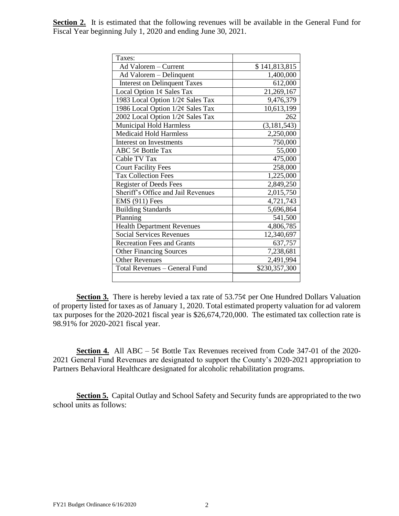| Taxes:                               |               |
|--------------------------------------|---------------|
| Ad Valorem - Current                 | \$141,813,815 |
| Ad Valorem - Delinquent              | 1,400,000     |
| <b>Interest on Delinquent Taxes</b>  | 612,000       |
| Local Option 1¢ Sales Tax            | 21,269,167    |
| 1983 Local Option 1/2¢ Sales Tax     | 9,476,379     |
| 1986 Local Option 1/2¢ Sales Tax     | 10,613,199    |
| 2002 Local Option 1/2¢ Sales Tax     | 262           |
| <b>Municipal Hold Harmless</b>       | (3, 181, 543) |
| <b>Medicaid Hold Harmless</b>        | 2,250,000     |
| Interest on Investments              | 750,000       |
| ABC 5¢ Bottle Tax                    | 55,000        |
| Cable TV Tax                         | 475,000       |
| <b>Court Facility Fees</b>           | 258,000       |
| <b>Tax Collection Fees</b>           | 1,225,000     |
| <b>Register of Deeds Fees</b>        | 2,849,250     |
| Sheriff's Office and Jail Revenues   | 2,015,750     |
| <b>EMS</b> (911) Fees                | 4,721,743     |
| <b>Building Standards</b>            | 5,696,864     |
| Planning                             | 541,500       |
| <b>Health Department Revenues</b>    | 4,806,785     |
| <b>Social Services Revenues</b>      | 12,340,697    |
| <b>Recreation Fees and Grants</b>    | 637,757       |
| <b>Other Financing Sources</b>       | 7,238,681     |
| <b>Other Revenues</b>                | 2,491,994     |
| <b>Total Revenues - General Fund</b> | \$230,357,300 |
|                                      |               |

**Section 2.** It is estimated that the following revenues will be available in the General Fund for Fiscal Year beginning July 1, 2020 and ending June 30, 2021.

**Section 3.** There is hereby levied a tax rate of 53.75¢ per One Hundred Dollars Valuation of property listed for taxes as of January 1, 2020. Total estimated property valuation for ad valorem tax purposes for the 2020-2021 fiscal year is \$26,674,720,000. The estimated tax collection rate is 98.91% for 2020-2021 fiscal year.

**Section 4.** All ABC – 5¢ Bottle Tax Revenues received from Code 347-01 of the 2020- 2021 General Fund Revenues are designated to support the County's 2020-2021 appropriation to Partners Behavioral Healthcare designated for alcoholic rehabilitation programs.

**Section 5.** Capital Outlay and School Safety and Security funds are appropriated to the two school units as follows: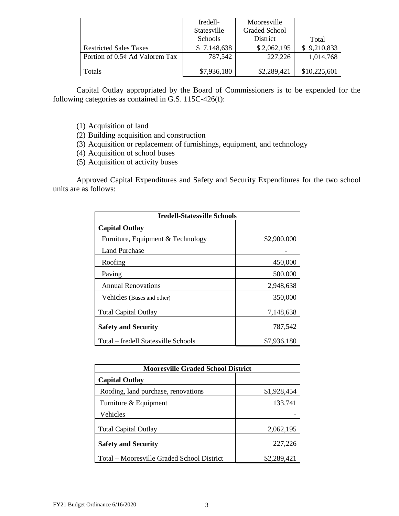|                                     | Iredell-           | Mooresville          |       |
|-------------------------------------|--------------------|----------------------|-------|
|                                     | <b>Statesville</b> | <b>Graded School</b> |       |
|                                     | Schools            | district             | Total |
| <b>Restricted Sales Taxes</b>       | 7.148.638          | 2 በ62 195            |       |
| Portion of $0.5\phi$ Ad Valorem Tax | 787.542            | 227.226              |       |
| . otals                             |                    | 7,289,421            |       |

Capital Outlay appropriated by the Board of Commissioners is to be expended for the following categories as contained in G.S. 115C-426(f):

- (1) Acquisition of land
- (2) Building acquisition and construction
- (3) Acquisition or replacement of furnishings, equipment, and technology
- (4) Acquisition of school buses
- (5) Acquisition of activity buses

Approved Capital Expenditures and Safety and Security Expenditures for the two school units are as follows:

| <b>Iredell-Statesville Schools</b>  |             |
|-------------------------------------|-------------|
| <b>Capital Outlay</b>               |             |
| Furniture, Equipment & Technology   | \$2,900,000 |
| Land Purchase                       |             |
| Roofing                             | 450,000     |
| Paving                              | 500,000     |
| <b>Annual Renovations</b>           | 2,948,638   |
| Vehicles (Buses and other)          | 350,000     |
| <b>Total Capital Outlay</b>         | 7,148,638   |
| <b>Safety and Security</b>          | 787,542     |
| Total – Iredell Statesville Schools | \$7,936,180 |

| <b>Mooresville Graded School District</b>  |             |  |
|--------------------------------------------|-------------|--|
| <b>Capital Outlay</b>                      |             |  |
| Roofing, land purchase, renovations        | \$1,928,454 |  |
| Furniture & Equipment                      | 133,741     |  |
| Vehicles                                   |             |  |
| <b>Total Capital Outlay</b>                | 2,062,195   |  |
| <b>Safety and Security</b>                 | 227,226     |  |
| Total – Mooresville Graded School District | \$2,289,421 |  |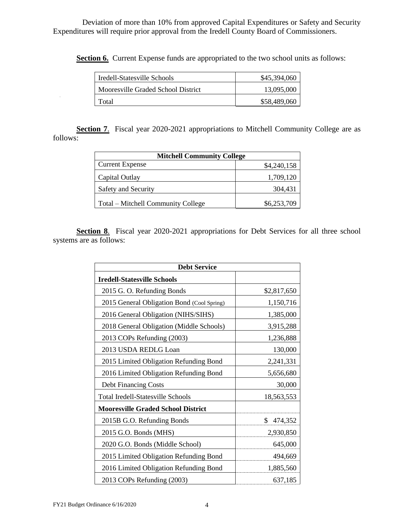Deviation of more than 10% from approved Capital Expenditures or Safety and Security Expenditures will require prior approval from the Iredell County Board of Commissioners.

**Section 6.** Current Expense funds are appropriated to the two school units as follows:

| Iredell-Statesville Schools        |  |
|------------------------------------|--|
| Mooresville Graded School District |  |
| i otal –                           |  |

**Section 7.** Fiscal year 2020-2021 appropriations to Mitchell Community College are as follows:

| <b>Mitchell Community College</b>  |             |  |
|------------------------------------|-------------|--|
| <b>Current Expense</b>             | \$4,240,158 |  |
| Capital Outlay                     | 1,709,120   |  |
| Safety and Security                | 304.431     |  |
| Total – Mitchell Community College | \$6,253,709 |  |

**Section 8**. Fiscal year 2020-2021 appropriations for Debt Services for all three school systems are as follows:

| <b>Debt Service</b>                        |               |  |
|--------------------------------------------|---------------|--|
| <b>Iredell-Statesville Schools</b>         |               |  |
| 2015 G. O. Refunding Bonds                 | \$2,817,650   |  |
| 2015 General Obligation Bond (Cool Spring) | 1,150,716     |  |
| 2016 General Obligation (NIHS/SIHS)        | 1,385,000     |  |
| 2018 General Obligation (Middle Schools)   | 3,915,288     |  |
| 2013 COPs Refunding (2003)                 | 1,236,888     |  |
| 2013 USDA REDLG Loan                       | 130,000       |  |
| 2015 Limited Obligation Refunding Bond     | 2,241,331     |  |
| 2016 Limited Obligation Refunding Bond     | 5,656,680     |  |
| Debt Financing Costs                       | 30,000        |  |
| Total Iredell-Statesville Schools          | 18,563,553    |  |
| <b>Mooresville Graded School District</b>  |               |  |
| 2015B G.O. Refunding Bonds                 | \$<br>474,352 |  |
| 2015 G.O. Bonds (MHS)                      | 2,930,850     |  |
| 2020 G.O. Bonds (Middle School)            | 645,000       |  |
| 2015 Limited Obligation Refunding Bond     | 494,669       |  |
| 2016 Limited Obligation Refunding Bond     | 1,885,560     |  |
| 2013 COPs Refunding (2003)                 | 637,185       |  |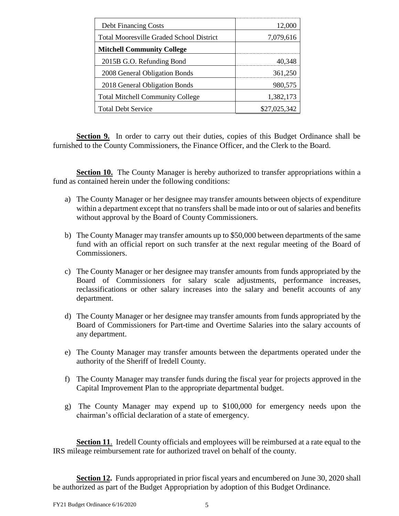| <b>Debt Financing Costs</b>                     | 12,000       |
|-------------------------------------------------|--------------|
| <b>Total Mooresville Graded School District</b> | 7,079,616    |
| <b>Mitchell Community College</b>               |              |
| 2015B G.O. Refunding Bond                       | 40.348       |
| 2008 General Obligation Bonds                   | 361,250      |
| 2018 General Obligation Bonds                   | 980,575      |
| <b>Total Mitchell Community College</b>         | 1,382,173    |
| <b>Total Debt Service</b>                       | \$27,025,342 |

Section 9. In order to carry out their duties, copies of this Budget Ordinance shall be furnished to the County Commissioners, the Finance Officer, and the Clerk to the Board.

**Section 10.** The County Manager is hereby authorized to transfer appropriations within a fund as contained herein under the following conditions:

- a) The County Manager or her designee may transfer amounts between objects of expenditure within a department except that no transfers shall be made into or out of salaries and benefits without approval by the Board of County Commissioners.
- b) The County Manager may transfer amounts up to \$50,000 between departments of the same fund with an official report on such transfer at the next regular meeting of the Board of Commissioners.
- c) The County Manager or her designee may transfer amounts from funds appropriated by the Board of Commissioners for salary scale adjustments, performance increases, reclassifications or other salary increases into the salary and benefit accounts of any department.
- d) The County Manager or her designee may transfer amounts from funds appropriated by the Board of Commissioners for Part-time and Overtime Salaries into the salary accounts of any department.
- e) The County Manager may transfer amounts between the departments operated under the authority of the Sheriff of Iredell County.
- f) The County Manager may transfer funds during the fiscal year for projects approved in the Capital Improvement Plan to the appropriate departmental budget.
- g) The County Manager may expend up to \$100,000 for emergency needs upon the chairman's official declaration of a state of emergency.

**Section 11.** Iredell County officials and employees will be reimbursed at a rate equal to the IRS mileage reimbursement rate for authorized travel on behalf of the county.

**Section 12.** Funds appropriated in prior fiscal years and encumbered on June 30, 2020 shall be authorized as part of the Budget Appropriation by adoption of this Budget Ordinance.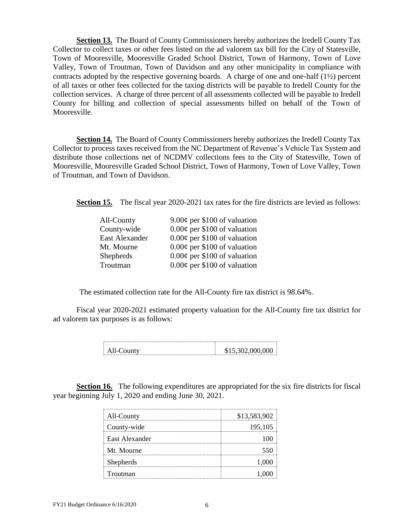**Section 13.** The Board of County Commissioners hereby authorizes the Iredell County Tax Collector to collect taxes or other fees listed on the ad valorem tax bill for the City of Statesville, Town of Mooresville, Mooresville Graded School District, Town of Harmony, Town of Love Valley, Town of Troutman, Town of Davidson and any other municipality in compliance with contracts adopted by the respective governing boards. A charge of one and one-half (1½) percent of all taxes or other fees collected for the taxing districts will be payable to Iredell County for the collection services. A charge of three percent of all assessments collected will be payable to Iredell County for billing and collection of special assessments billed on behalf of the Town of Mooresville.

**Section 14.** The Board of County Commissioners hereby authorizes the Iredell County Tax Collector to process taxes received from the NC Department of Revenue's Vehicle Tax System and distribute those collections net of NCDMV collections fees to the City of Statesville, Town of Mooresville, Mooresville Graded School District, Town of Harmony, Town of Love Valley, Town of Troutman, and Town of Davidson.

**Section 15.** The fiscal year 2020-2021 tax rates for the fire districts are levied as follows:

| 9.00¢ per \$100 of valuation      |
|-----------------------------------|
| $0.00¢$ per \$100 of valuation    |
| $0.00\phi$ per \$100 of valuation |
| $0.00\phi$ per \$100 of valuation |
| $0.00\phi$ per \$100 of valuation |
| $0.00\phi$ per \$100 of valuation |
|                                   |

The estimated collection rate for the All-County fire tax district is 98.64%.

Fiscal year 2020-2021 estimated property valuation for the All-County fire tax district for ad valorem tax purposes is as follows:

**Section 16.** The following expenditures are appropriated for the six fire districts for fiscal year beginning July 1, 2020 and ending June 30, 2021.

| All-County       | \$13,583,902 |
|------------------|--------------|
| County-wide      | 195,105      |
| East Alexander   |              |
| Mt. Mourne       |              |
| <b>Shepherds</b> |              |
| Troutman         |              |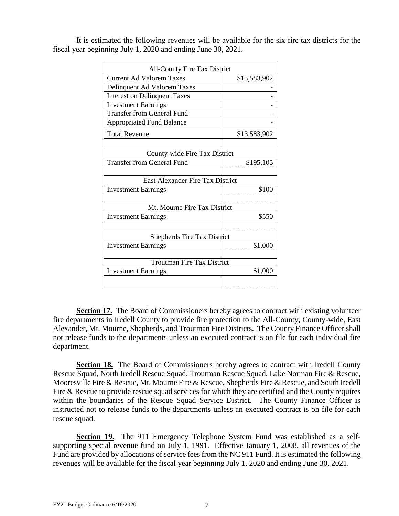| <b>All-County Fire Tax District</b> |              |
|-------------------------------------|--------------|
| <b>Current Ad Valorem Taxes</b>     | \$13,583,902 |
| Delinquent Ad Valorem Taxes         |              |
| <b>Interest on Delinquent Taxes</b> |              |
| <b>Investment Earnings</b>          |              |
| <b>Transfer from General Fund</b>   |              |
| <b>Appropriated Fund Balance</b>    |              |
| <b>Total Revenue</b>                | \$13,583,902 |
| County-wide Fire Tax District       |              |
| <b>Transfer from General Fund</b>   | \$195,105    |
| East Alexander Fire Tax District    |              |
| <b>Investment Earnings</b>          | \$100        |
| Mt. Mourne Fire Tax District        |              |
| <b>Investment Earnings</b>          | \$550        |
| <b>Shepherds Fire Tax District</b>  |              |
| <b>Investment Earnings</b>          | \$1,000      |
| <b>Troutman Fire Tax District</b>   |              |
| <b>Investment Earnings</b>          | \$1,000      |
|                                     |              |

It is estimated the following revenues will be available for the six fire tax districts for the fiscal year beginning July 1, 2020 and ending June 30, 2021.

**Section 17.** The Board of Commissioners hereby agrees to contract with existing volunteer fire departments in Iredell County to provide fire protection to the All-County, County-wide, East Alexander, Mt. Mourne, Shepherds, and Troutman Fire Districts. The County Finance Officer shall not release funds to the departments unless an executed contract is on file for each individual fire department.

**Section 18.** The Board of Commissioners hereby agrees to contract with Iredell County Rescue Squad, North Iredell Rescue Squad, Troutman Rescue Squad, Lake Norman Fire & Rescue, Mooresville Fire & Rescue, Mt. Mourne Fire & Rescue, Shepherds Fire & Rescue, and South Iredell Fire & Rescue to provide rescue squad services for which they are certified and the County requires within the boundaries of the Rescue Squad Service District. The County Finance Officer is instructed not to release funds to the departments unless an executed contract is on file for each rescue squad.

**Section 19.** The 911 Emergency Telephone System Fund was established as a selfsupporting special revenue fund on July 1, 1991. Effective January 1, 2008, all revenues of the Fund are provided by allocations of service fees from the NC 911 Fund. It is estimated the following revenues will be available for the fiscal year beginning July 1, 2020 and ending June 30, 2021.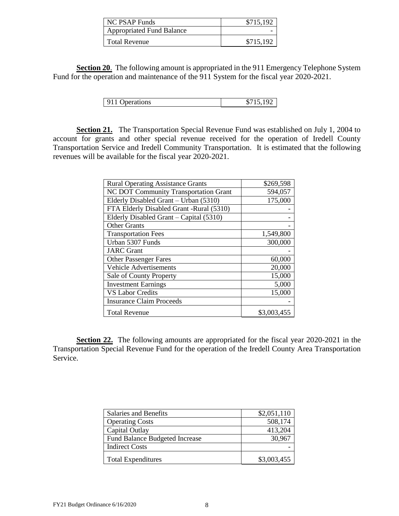| PSAP Funds                       |  |
|----------------------------------|--|
| <b>Appropriated Fund Balance</b> |  |
| Total Revenue                    |  |

**Section 20.** The following amount is appropriated in the 911 Emergency Telephone System Fund for the operation and maintenance of the 911 System for the fiscal year 2020-2021.

| 911 Operations |  |
|----------------|--|
|                |  |

**Section 21.** The Transportation Special Revenue Fund was established on July 1, 2004 to account for grants and other special revenue received for the operation of Iredell County Transportation Service and Iredell Community Transportation. It is estimated that the following revenues will be available for the fiscal year 2020-2021.

| <b>Rural Operating Assistance Grants</b> | \$269,598   |
|------------------------------------------|-------------|
| NC DOT Community Transportation Grant    | 594,057     |
| Elderly Disabled Grant – Urban (5310)    | 175,000     |
| FTA Elderly Disabled Grant -Rural (5310) |             |
| Elderly Disabled Grant – Capital (5310)  |             |
| <b>Other Grants</b>                      |             |
| <b>Transportation Fees</b>               | 1,549,800   |
| Urban 5307 Funds                         | 300,000     |
| <b>JARC</b> Grant                        |             |
| <b>Other Passenger Fares</b>             | 60,000      |
| <b>Vehicle Advertisements</b>            | 20,000      |
| Sale of County Property                  | 15,000      |
| <b>Investment Earnings</b>               | 5,000       |
| <b>VS Labor Credits</b>                  | 15,000      |
| <b>Insurance Claim Proceeds</b>          |             |
| <b>Total Revenue</b>                     | \$3,003,455 |

**Section 22.** The following amounts are appropriated for the fiscal year 2020-2021 in the Transportation Special Revenue Fund for the operation of the Iredell County Area Transportation Service.

| Salaries and Benefits                 | \$2,051,110 |
|---------------------------------------|-------------|
| <b>Operating Costs</b>                | 508.174     |
| Capital Outlay                        | 413 204     |
| <b>Fund Balance Budgeted Increase</b> |             |
| <b>Indirect Costs</b>                 |             |
| <b>Total Expenditures</b>             | \$3,003,455 |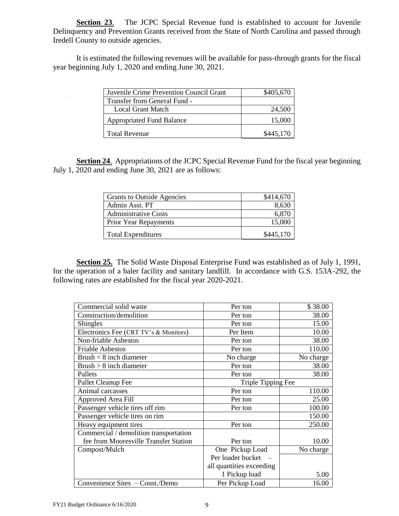**Section 23**. The JCPC Special Revenue fund is established to account for Juvenile Delinquency and Prevention Grants received from the State of North Carolina and passed through Iredell County to outside agencies.

It is estimated the following revenues will be available for pass-through grants for the fiscal year beginning July 1, 2020 and ending June 30, 2021.

| Juvenile Crime Prevention Council Grant |         |
|-----------------------------------------|---------|
| Transfer from General Fund -            |         |
| Local Grant Match                       | 24.500  |
| <b>Appropriated Fund Balance</b>        |         |
| Total Revenue                           | 445.170 |

**Section 24**. Appropriations of the JCPC Special Revenue Fund for the fiscal year beginning July 1, 2020 and ending June 30, 2021 are as follows:

| Grants to Outside Agencies   |  |
|------------------------------|--|
| Admin Asst. PT               |  |
| Administrative Costs         |  |
| <b>Prior Year Repayments</b> |  |
| <b>Total Expenditures</b>    |  |

**Section 25.** The Solid Waste Disposal Enterprise Fund was established as of July 1, 1991, for the operation of a baler facility and sanitary landfill. In accordance with G.S. 153A-292, the following rates are established for the fiscal year 2020-2021.

| Commercial solid waste                 | Per ton                  | \$38.00   |
|----------------------------------------|--------------------------|-----------|
| Construction/demolition                | Per ton                  | 38.00     |
| <b>Shingles</b>                        | Per ton                  | 15.00     |
| Electronics Fee (CRT TV's & Monitors)  | Per Item                 | 10.00     |
| <b>Non-friable Asbestos</b>            | Per ton                  | 38.00     |
| <b>Friable Asbestos</b>                | Per ton                  | 110.00    |
| Brush $< 8$ inch diameter              | No charge                | No charge |
| $Brush > 8$ inch diameter              | Per ton                  | 38.00     |
| Pallets                                | Per ton                  | 38.00     |
| Pallet Cleanup Fee                     | Triple Tipping Fee       |           |
| Animal carcasses                       | Per ton                  | 110.00    |
| Approved Area Fill                     | Per ton                  | 25.00     |
| Passenger vehicle tires off rim        | Per ton                  | 100.00    |
| Passenger vehicle tires on rim         |                          | 150.00    |
| Heavy equipment tires                  | Per ton                  | 250.00    |
| Commercial / demolition transportation |                          |           |
| fee from Mooresville Transfer Station  | Per ton                  | 10.00     |
| Compost/Mulch                          | One Pickup Load          | No charge |
|                                        | Per loader bucket        |           |
|                                        | all quantities exceeding |           |
|                                        | 1 Pickup load            | 5.00      |
| Convenience Sites - Const./Demo        | Per Pickup Load          | 16.00     |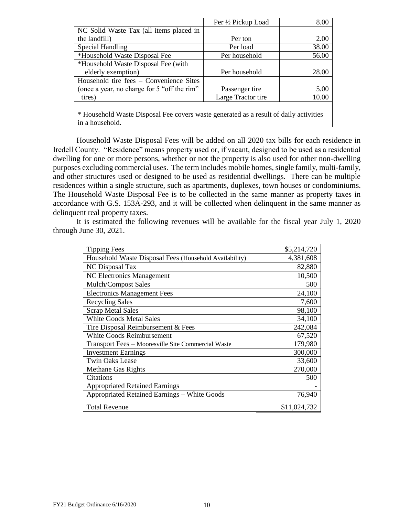|                                                                                       | Per 1/2 Pickup Load | 8.00  |
|---------------------------------------------------------------------------------------|---------------------|-------|
| NC Solid Waste Tax (all items placed in                                               |                     |       |
| the landfill)                                                                         | Per ton             | 2.00  |
| Special Handling                                                                      | Per load            | 38.00 |
| *Household Waste Disposal Fee                                                         | Per household       | 56.00 |
| *Household Waste Disposal Fee (with                                                   |                     |       |
| elderly exemption)                                                                    | Per household       | 28.00 |
| Household tire fees – Convenience Sites                                               |                     |       |
| (once a year, no charge for 5 "off the rim"                                           | Passenger tire      | 5.00  |
| tires)                                                                                | Large Tractor tire  | 10.00 |
|                                                                                       |                     |       |
| * Household Waste Disposal Fee covers waste generated as a result of daily activities |                     |       |

overs waste generated as a result of in a household.

Household Waste Disposal Fees will be added on all 2020 tax bills for each residence in Iredell County. "Residence" means property used or, if vacant, designed to be used as a residential dwelling for one or more persons, whether or not the property is also used for other non-dwelling purposes excluding commercial uses. The term includes mobile homes, single family, multi-family, and other structures used or designed to be used as residential dwellings. There can be multiple residences within a single structure, such as apartments, duplexes, town houses or condominiums. The Household Waste Disposal Fee is to be collected in the same manner as property taxes in accordance with G.S. 153A-293, and it will be collected when delinquent in the same manner as delinquent real property taxes.

It is estimated the following revenues will be available for the fiscal year July 1, 2020 through June 30, 2021.

| <b>Tipping Fees</b>                                    | \$5,214,720  |
|--------------------------------------------------------|--------------|
| Household Waste Disposal Fees (Household Availability) | 4,381,608    |
| NC Disposal Tax                                        | 82,880       |
| NC Electronics Management                              | 10,500       |
| <b>Mulch/Compost Sales</b>                             | 500          |
| <b>Electronics Management Fees</b>                     | 24,100       |
| <b>Recycling Sales</b>                                 | 7,600        |
| <b>Scrap Metal Sales</b>                               | 98,100       |
| <b>White Goods Metal Sales</b>                         | 34,100       |
| Tire Disposal Reimbursement & Fees                     | 242,084      |
| White Goods Reimbursement                              | 67,520       |
| Transport Fees - Mooresville Site Commercial Waste     | 179,980      |
| <b>Investment Earnings</b>                             | 300,000      |
| <b>Twin Oaks Lease</b>                                 | 33,600       |
| <b>Methane Gas Rights</b>                              | 270,000      |
| Citations                                              | 500          |
| <b>Appropriated Retained Earnings</b>                  |              |
| Appropriated Retained Earnings - White Goods           | 76,940       |
| <b>Total Revenue</b>                                   | \$11,024,732 |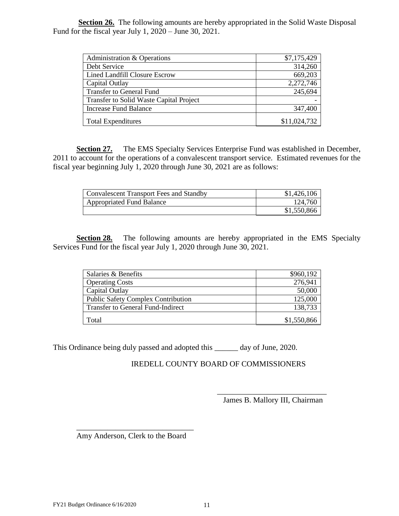**Section 26.** The following amounts are hereby appropriated in the Solid Waste Disposal Fund for the fiscal year July 1, 2020 – June 30, 2021.

| Administration & Operations                    | \$7,175,429 |
|------------------------------------------------|-------------|
| Debt Service                                   |             |
| Lined Landfill Closure Escrow                  |             |
| Capital Outlay                                 |             |
| Transfer to General Fund                       |             |
| <b>Transfer to Solid Waste Capital Project</b> |             |
| Increase Fund Balance                          |             |
| <b>Total Expenditures</b>                      |             |

**Section 27.** The EMS Specialty Services Enterprise Fund was established in December, 2011 to account for the operations of a convalescent transport service. Estimated revenues for the fiscal year beginning July 1, 2020 through June 30, 2021 are as follows:

| Convalescent Transport Fees and Standby |  |
|-----------------------------------------|--|
| Appropriated Fund Balance               |  |
|                                         |  |

**Section 28.** The following amounts are hereby appropriated in the EMS Specialty Services Fund for the fiscal year July 1, 2020 through June 30, 2021.

| Salaries & Benefits                       |  |
|-------------------------------------------|--|
| <b>Operating Costs</b>                    |  |
| Capital Qutlay                            |  |
| <b>Public Safety Complex Contribution</b> |  |
| <b>Transfer to General Fund-Indirect</b>  |  |
|                                           |  |

This Ordinance being duly passed and adopted this \_\_\_\_\_\_ day of June, 2020.

IREDELL COUNTY BOARD OF COMMISSIONERS

\_\_\_\_\_\_\_\_\_\_\_\_\_\_\_\_\_\_\_\_\_\_\_\_\_\_\_\_ James B. Mallory III, Chairman

\_\_\_\_\_\_\_\_\_\_\_\_\_\_\_\_\_\_\_\_\_\_\_\_\_\_\_\_\_\_ Amy Anderson, Clerk to the Board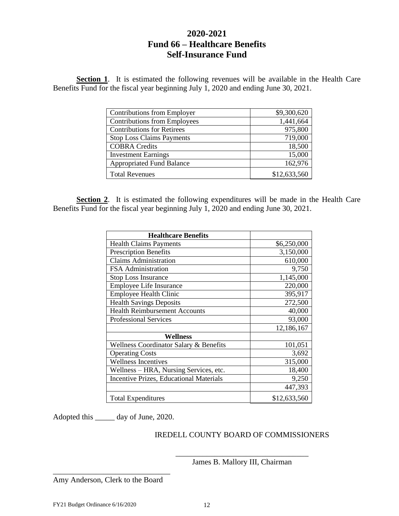# **2020-2021 Fund 66 – Healthcare Benefits Self-Insurance Fund**

**Section 1**. It is estimated the following revenues will be available in the Health Care Benefits Fund for the fiscal year beginning July 1, 2020 and ending June 30, 2021.

| Contributions from Employer         | \$9,300,620  |
|-------------------------------------|--------------|
| <b>Contributions from Employees</b> | 1,441,664    |
| <b>Contributions for Retirees</b>   | 975,800      |
| <b>Stop Loss Claims Payments</b>    | 719 000      |
| <b>COBRA</b> Credits                | 18,500       |
| <b>Investment Earnings</b>          | 15 000       |
| <b>Appropriated Fund Balance</b>    | 162.976      |
| <b>Total Revenues</b>               | \$12,633,560 |

**Section 2**. It is estimated the following expenditures will be made in the Health Care Benefits Fund for the fiscal year beginning July 1, 2020 and ending June 30, 2021.

| <b>Healthcare Benefits</b>                     |              |
|------------------------------------------------|--------------|
| <b>Health Claims Payments</b>                  | \$6,250,000  |
| <b>Prescription Benefits</b>                   | 3,150,000    |
| <b>Claims Administration</b>                   | 610,000      |
| <b>FSA</b> Administration                      | 9,750        |
| <b>Stop Loss Insurance</b>                     | 1,145,000    |
| <b>Employee Life Insurance</b>                 | 220,000      |
| <b>Employee Health Clinic</b>                  | 395,917      |
| <b>Health Savings Deposits</b>                 | 272,500      |
| <b>Health Reimbursement Accounts</b>           | 40,000       |
| <b>Professional Services</b>                   | 93,000       |
|                                                | 12,186,167   |
| Wellness                                       |              |
| Wellness Coordinator Salary & Benefits         | 101,051      |
| <b>Operating Costs</b>                         | 3,692        |
| <b>Wellness Incentives</b>                     | 315,000      |
| Wellness – HRA, Nursing Services, etc.         | 18,400       |
| <b>Incentive Prizes, Educational Materials</b> | 9,250        |
|                                                | 447,393      |
| <b>Total Expenditures</b>                      | \$12,633,560 |

Adopted this \_\_\_\_\_ day of June, 2020.

## IREDELL COUNTY BOARD OF COMMISSIONERS

\_\_\_\_\_\_\_\_\_\_\_\_\_\_\_\_\_\_\_\_\_\_\_\_\_\_\_\_\_\_\_\_\_\_ James B. Mallory III, Chairman

\_\_\_\_\_\_\_\_\_\_\_\_\_\_\_\_\_\_\_\_\_\_\_\_\_\_\_\_\_\_ Amy Anderson, Clerk to the Board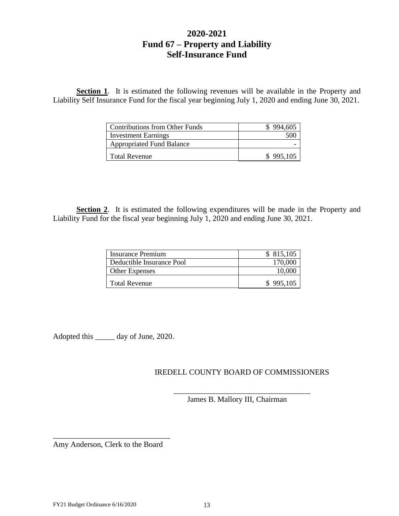# **2020-2021 Fund 67 – Property and Liability Self-Insurance Fund**

**Section 1**. It is estimated the following revenues will be available in the Property and Liability Self Insurance Fund for the fiscal year beginning July 1, 2020 and ending June 30, 2021.

| Contributions from Other Funds   |        |
|----------------------------------|--------|
| Investment Earnings              |        |
| <b>Appropriated Fund Balance</b> |        |
| Total Revenue                    | 995.IO |

**Section 2**. It is estimated the following expenditures will be made in the Property and Liability Fund for the fiscal year beginning July 1, 2020 and ending June 30, 2021.

| Insurance Premium         | 815.105 |
|---------------------------|---------|
| Deductible Insurance Pool |         |
| Other Expenses            |         |
| Total Revenue             | 995.105 |

Adopted this \_\_\_\_\_ day of June, 2020.

## IREDELL COUNTY BOARD OF COMMISSIONERS

\_\_\_\_\_\_\_\_\_\_\_\_\_\_\_\_\_\_\_\_\_\_\_\_\_\_\_\_\_\_\_\_\_\_\_

James B. Mallory III, Chairman

\_\_\_\_\_\_\_\_\_\_\_\_\_\_\_\_\_\_\_\_\_\_\_\_\_\_\_\_\_\_ Amy Anderson, Clerk to the Board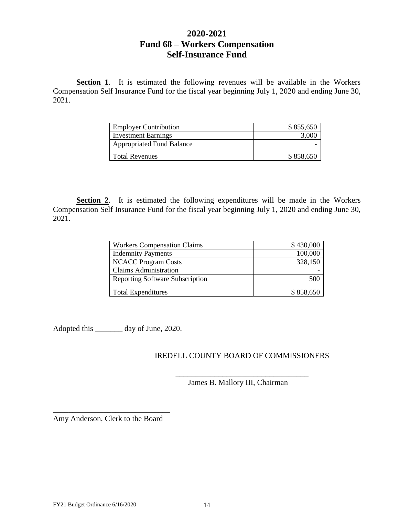# **2020-2021 Fund 68 – Workers Compensation Self-Insurance Fund**

**Section 1**. It is estimated the following revenues will be available in the Workers Compensation Self Insurance Fund for the fiscal year beginning July 1, 2020 and ending June 30, 2021.

| <b>Employer Contribution</b>     |  |
|----------------------------------|--|
| Investment Earnings              |  |
| <b>Appropriated Fund Balance</b> |  |
| Total Revenues                   |  |

**Section 2**. It is estimated the following expenditures will be made in the Workers Compensation Self Insurance Fund for the fiscal year beginning July 1, 2020 and ending June 30, 2021.

| <b>Workers Compensation Claims</b>     |  |
|----------------------------------------|--|
| <b>Indemnity Payments</b>              |  |
| <b>NCACC Program Costs</b>             |  |
| Claims Administration                  |  |
| <b>Reporting Software Subscription</b> |  |
| <b>Total Expenditures</b>              |  |

Adopted this \_\_\_\_\_\_\_ day of June, 2020.

## IREDELL COUNTY BOARD OF COMMISSIONERS

\_\_\_\_\_\_\_\_\_\_\_\_\_\_\_\_\_\_\_\_\_\_\_\_\_\_\_\_\_\_\_\_\_\_

James B. Mallory III, Chairman

\_\_\_\_\_\_\_\_\_\_\_\_\_\_\_\_\_\_\_\_\_\_\_\_\_\_\_\_\_\_ Amy Anderson, Clerk to the Board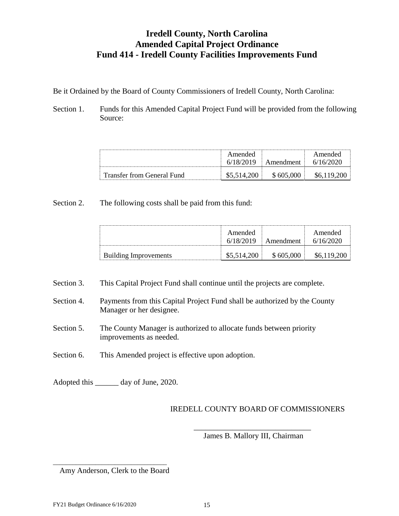# **Iredell County, North Carolina Amended Capital Project Ordinance Fund 414 - Iredell County Facilities Improvements Fund**

Be it Ordained by the Board of County Commissioners of Iredell County, North Carolina:

Section 1. Funds for this Amended Capital Project Fund will be provided from the following Source:

|                                   | Amended | Amendment | Amended |
|-----------------------------------|---------|-----------|---------|
| <b>Transfer from General Fund</b> |         |           |         |

Section 2. The following costs shall be paid from this fund:

|                       | Amended<br>6/18/2019 | Amendment | Amended<br>6/16/2020 |
|-----------------------|----------------------|-----------|----------------------|
| Building Improvements | \$5,514,200          | \$605,000 |                      |

Section 3. This Capital Project Fund shall continue until the projects are complete.

- Section 4. Payments from this Capital Project Fund shall be authorized by the County Manager or her designee.
- Section 5. The County Manager is authorized to allocate funds between priority improvements as needed.
- Section 6. This Amended project is effective upon adoption.

Adopted this \_\_\_\_\_\_ day of June, 2020.

# IREDELL COUNTY BOARD OF COMMISSIONERS

\_\_\_\_\_\_\_\_\_\_\_\_\_\_\_\_\_\_\_\_\_\_\_\_\_\_\_\_\_\_ James B. Mallory III, Chairman

#### \_\_\_\_\_\_\_\_\_\_\_\_\_\_\_\_\_\_\_\_\_\_\_\_\_\_\_\_\_\_\_\_\_\_\_ Amy Anderson, Clerk to the Board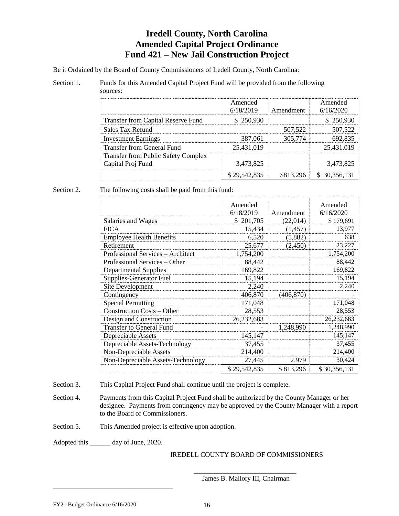# **Iredell County, North Carolina Amended Capital Project Ordinance Fund 421 – New Jail Construction Project**

Be it Ordained by the Board of County Commissioners of Iredell County, North Carolina:

#### Section 1. Funds for this Amended Capital Project Fund will be provided from the following sources:

|                                            | Amended<br>6/18/2019 | Amendment | Amended<br>6/16/2020 |
|--------------------------------------------|----------------------|-----------|----------------------|
| Transfer from Capital Reserve Fund         | \$250,930            |           | -250.930             |
| Sales Tax Refund                           |                      | 507,522   | 507.522              |
| <b>Investment Earnings</b>                 | 387,061              | 305,774   |                      |
| Transfer from General Fund                 | 25,431,019           |           | 25.431.019           |
| <b>Transfer from Public Safety Complex</b> |                      |           |                      |
| Capital Proj Fund                          | 3,473,825            |           | 3,473,825            |
|                                            | \$29,542,835         |           | \$ 30,356,131        |

#### Section 2. The following costs shall be paid from this fund:

|                                   | Amended<br>6/18/2019 | Amendment  | Amended<br>6/16/2020 |
|-----------------------------------|----------------------|------------|----------------------|
| Salaries and Wages                | \$201,705            | (22,014)   | \$179,691            |
| <b>FICA</b>                       | 15,434               | (1, 457)   | 13,977               |
| <b>Employee Health Benefits</b>   | 6,520                | (5,882)    | 638                  |
| Retirement                        | 25,677               | (2,450)    | 23,227               |
| Professional Services - Architect | 1,754,200            |            | 1,754,200            |
| Professional Services – Other     | 88,442               |            | 88,442               |
| <b>Departmental Supplies</b>      | 169,822              |            | 169,822              |
| Supplies-Generator Fuel           | 15,194               |            | 15,194               |
| Site Development                  | 2,240                |            | 2,240                |
| Contingency                       | 406,870              | (406, 870) |                      |
| <b>Special Permitting</b>         | 171,048              |            | 171,048              |
| <b>Construction Costs - Other</b> | 28,553               |            | 28,553               |
| Design and Construction           | 26,232,683           |            | 26,232,683           |
| <b>Transfer to General Fund</b>   |                      | 1,248,990  | 1,248,990            |
| Depreciable Assets                | 145,147              |            | 145,147              |
| Depreciable Assets-Technology     | 37,455               |            | 37,455               |
| Non-Depreciable Assets            | 214,400              |            | 214,400              |
| Non-Depreciable Assets-Technology | 27,445               | 2,979      | 30,424               |
|                                   | \$29,542,835         | \$813,296  | \$30,356,131         |

Section 3. This Capital Project Fund shall continue until the project is complete.

Section 4. Payments from this Capital Project Fund shall be authorized by the County Manager or her designee. Payments from contingency may be approved by the County Manager with a report to the Board of Commissioners.

Section 5. This Amended project is effective upon adoption.

Adopted this \_\_\_\_\_\_ day of June, 2020.

\_\_\_\_\_\_\_\_\_\_\_\_\_\_\_\_\_\_\_\_\_\_\_\_\_\_\_\_\_\_\_\_\_\_\_

#### IREDELL COUNTY BOARD OF COMMISSIONERS

\_\_\_\_\_\_\_\_\_\_\_\_\_\_\_\_\_\_\_\_\_\_\_\_\_\_\_\_\_\_ James B. Mallory III, Chairman

FY21 Budget Ordinance 6/16/2020 16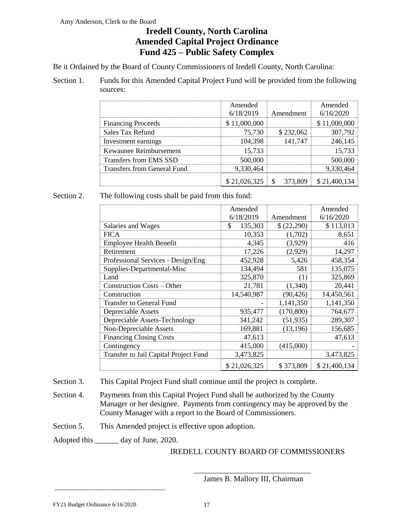#### Amy Anderson, Clerk to the Board

# **Iredell County, North Carolina Amended Capital Project Ordinance Fund 425 – Public Safety Complex**

Be it Ordained by the Board of County Commissioners of Iredell County, North Carolina:

Section 1. Funds for this Amended Capital Project Fund will be provided from the following sources:

|                                    | Amended<br>6/18/2019 | Amendment | Amended<br>6/16/2020 |
|------------------------------------|----------------------|-----------|----------------------|
| <b>Financing Proceeds</b>          | \$11,000,000         |           | \$11,000,000         |
| Sales Tax Refund                   | 75.730               | \$232,062 | 307,792              |
| Investment earnings                | 104,398              | 141.747   | 246 1                |
| Kewaunee Reimbursement             | 15.733               |           |                      |
| Transfers from EMS SSD             | 500,000              |           | 500.0                |
| <b>Transfers from General Fund</b> | 9,330,464            |           |                      |
|                                    |                      | 373.809   | \$21,400,            |

Section 2. The following costs shall be paid from this fund:

|                                       | Amended       |            | Amended      |
|---------------------------------------|---------------|------------|--------------|
|                                       | 6/18/2019     | Amendment  | 6/16/2020    |
| Salaries and Wages                    | \$<br>135,303 | \$(22,290) | \$113,013    |
| <b>FICA</b>                           | 10,353        | (1,702)    | 8,651        |
| <b>Employee Health Benefit</b>        | 4.345         | (3,929)    | 416          |
| Retirement                            | 17,226        | (2,929)    | 14,297       |
| Professional Services - Design/Eng    | 452,928       | 5,426      | 458,354      |
| Supplies-Departmental-Misc            | 134,494       | 581        | 135,075      |
| Land                                  | 325,870       | (1)        | 325,869      |
| Construction Costs – Other            | 21,781        | (1,340)    | 20,441       |
| Construction                          | 14,540,987    | (90, 426)  | 14,450,561   |
| <b>Transfer to General Fund</b>       |               | 1,141,350  | 1,141,350    |
| Depreciable Assets                    | 935,477       | (170, 800) | 764,677      |
| Depreciable Assets-Technology         | 341,242       | (51, 935)  | 289,307      |
| Non-Depreciable Assets                | 169,881       | (13, 196)  | 156,685      |
| <b>Financing Closing Costs</b>        | 47,613        |            | 47,613       |
| Contingency                           | 415,000       | (415,000)  |              |
| Transfer to Jail Capital Project Fund | 3,473,825     |            | 3,473,825    |
|                                       | \$21,026,325  | \$373,809  | \$21,400,134 |

Section 3. This Capital Project Fund shall continue until the project is complete.

Section 4. Payments from this Capital Project Fund shall be authorized by the County Manager or her designee. Payments from contingency may be approved by the County Manager with a report to the Board of Commissioners.

Section 5. This Amended project is effective upon adoption.

Adopted this \_\_\_\_\_\_ day of June, 2020.

\_\_\_\_\_\_\_\_\_\_\_\_\_\_\_\_\_\_\_\_\_\_\_\_\_\_\_\_\_\_\_\_\_\_

## IREDELL COUNTY BOARD OF COMMISSIONERS

\_\_\_\_\_\_\_\_\_\_\_\_\_\_\_\_\_\_\_\_\_\_\_\_\_\_\_\_\_\_ James B. Mallory III, Chairman

FY21 Budget Ordinance 6/16/2020 17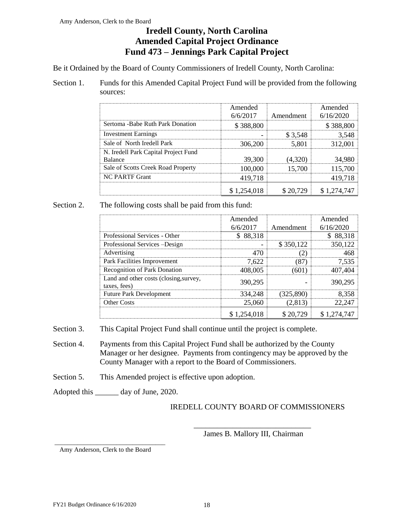# **Iredell County, North Carolina Amended Capital Project Ordinance Fund 473 – Jennings Park Capital Project**

Be it Ordained by the Board of County Commissioners of Iredell County, North Carolina:

Section 1. Funds for this Amended Capital Project Fund will be provided from the following sources:

|                                                        | Amended<br>6/6/2017 | Amendment | Amended<br>6/16/2020 |
|--------------------------------------------------------|---------------------|-----------|----------------------|
| Sertoma - Babe Ruth Park Donation                      | \$388,800           |           | \$388,800            |
| <b>Investment Earnings</b>                             |                     | \$ 3.548  | 3 548                |
| Sale of North Iredell Park                             | 306,200             | 5.801     | 312.001              |
| N. Iredell Park Capital Project Fund<br><b>Balance</b> | 39,300              |           | 34,980               |
| Sale of Scotts Creek Road Property                     | 100,000             | 15.700    | 115,700              |
| <b>NC PARTF Grant</b>                                  | 419,718             |           | 419.718              |
|                                                        |                     |           |                      |

## Section 2. The following costs shall be paid from this fund:

|                                                        | Amended     |            | Amended     |
|--------------------------------------------------------|-------------|------------|-------------|
|                                                        | 6/6/2017    | Amendment  | 6/16/2020   |
| Professional Services - Other                          | \$88,318    |            | \$88,318    |
| Professional Services -Design                          |             | \$350,122  | 350,122     |
| Advertising                                            | 470         | - 21       | 468         |
| Park Facilities Improvement                            | 7,622       | (87)       | 7,535       |
| <b>Recognition of Park Donation</b>                    | 408,005     | (601)      | 407,404     |
| Land and other costs (closing, survey,<br>taxes, fees) | 390,295     |            | 390,295     |
| <b>Future Park Development</b>                         | 334,248     | (325, 890) | 8,358       |
| <b>Other Costs</b>                                     | 25,060      | (2,813)    | 22,247      |
|                                                        | \$1,254,018 | \$20,729   | \$1,274,747 |

- Section 3. This Capital Project Fund shall continue until the project is complete.
- Section 4. Payments from this Capital Project Fund shall be authorized by the County Manager or her designee. Payments from contingency may be approved by the County Manager with a report to the Board of Commissioners.
- Section 5. This Amended project is effective upon adoption.
- Adopted this day of June, 2020.

## IREDELL COUNTY BOARD OF COMMISSIONERS

\_\_\_\_\_\_\_\_\_\_\_\_\_\_\_\_\_\_\_\_\_\_\_\_\_\_\_\_\_\_ James B. Mallory III, Chairman

\_\_\_\_\_\_\_\_\_\_\_\_\_\_\_\_\_\_\_\_\_\_\_\_\_\_\_\_\_\_\_\_\_\_ Amy Anderson, Clerk to the Board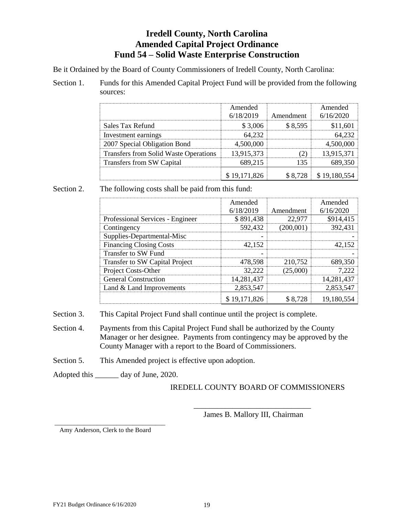# **Iredell County, North Carolina Amended Capital Project Ordinance Fund 54 – Solid Waste Enterprise Construction**

Be it Ordained by the Board of County Commissioners of Iredell County, North Carolina:

Section 1. Funds for this Amended Capital Project Fund will be provided from the following sources:

|                                              | Amended<br>6/18/2019 | Amendment | Amended<br>6/16/2020 |
|----------------------------------------------|----------------------|-----------|----------------------|
| Sales Tax Refund                             | $-3.006$             |           |                      |
| Investment earnings                          |                      |           |                      |
| 2007 Special Obligation Bond                 | 4,500,000            |           |                      |
| <b>Transfers from Solid Waste Operations</b> | 13,915,373           |           | 13.915.3             |
| <b>Transfers from SW Capital</b>             | 689.215              |           |                      |
|                                              | \$19,171,826         |           | 28 \$19,180          |

## Section 2. The following costs shall be paid from this fund:

|                                  | Amended      |           | Amended    |
|----------------------------------|--------------|-----------|------------|
|                                  | 6/18/2019    | Amendment | 6/16/2020  |
| Professional Services - Engineer | \$891,438    | 22,977    | \$914,415  |
| Contingency                      | 592,432      | (200,001) | 392,431    |
| Supplies-Departmental-Misc       |              |           |            |
| <b>Financing Closing Costs</b>   | 42.152       |           | 42.152     |
| <b>Transfer to SW Fund</b>       |              |           |            |
| Transfer to SW Capital Project   | 478,598      | 210,752   | 689,350    |
| Project Costs-Other              | 32,222       | (25,000)  | 7,222      |
| <b>General Construction</b>      | 14,281,437   |           | 14,281,437 |
| Land & Land Improvements         | 2,853,547    |           | 2,853,547  |
|                                  | \$19,171,826 | \$8,728   | 19,180,554 |

Section 3. This Capital Project Fund shall continue until the project is complete.

- Section 4. Payments from this Capital Project Fund shall be authorized by the County Manager or her designee. Payments from contingency may be approved by the County Manager with a report to the Board of Commissioners.
- Section 5. This Amended project is effective upon adoption.

Adopted this \_\_\_\_\_\_ day of June, 2020.

## IREDELL COUNTY BOARD OF COMMISSIONERS

\_\_\_\_\_\_\_\_\_\_\_\_\_\_\_\_\_\_\_\_\_\_\_\_\_\_\_\_\_\_ James B. Mallory III, Chairman

\_\_\_\_\_\_\_\_\_\_\_\_\_\_\_\_\_\_\_\_\_\_\_\_\_\_\_\_\_\_\_\_\_\_ Amy Anderson, Clerk to the Board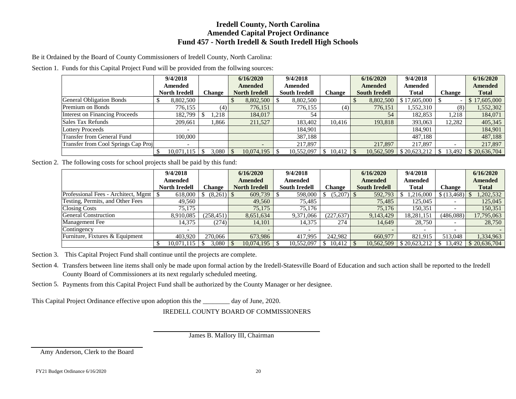## **Iredell County, North Carolina Amended Capital Project Ordinance Fund 457 - North Iredell & South Iredell High Schools**

Be it Ordained by the Board of County Commissioners of Iredell County, North Carolina:

Section 1. Funds for this Capital Project Fund will be provided from the follwing sources:

|                                     | 9/4/2018                 |               | 6/16/2020                | 9/4/2018             |        | 6/16/2020            | 9/4/2018       |                          | 6/16/2020      |
|-------------------------------------|--------------------------|---------------|--------------------------|----------------------|--------|----------------------|----------------|--------------------------|----------------|
|                                     | Amended                  |               | <b>Amended</b>           | Amended              |        | <b>Amended</b>       | <b>Amended</b> |                          | <b>Amended</b> |
|                                     | <b>North Iredell</b>     | <b>Change</b> | <b>North Iredell</b>     | <b>South Iredell</b> | Change | <b>South Iredell</b> | <b>Total</b>   | <b>Change</b>            | Total          |
| <b>General Obligation Bonds</b>     | 8,802,500                |               | 8,802,500                | 8,802,500            |        | 8,802,500            | \$17,605,000   | $\overline{\phantom{a}}$ | \$17,605,000   |
| Premium on Bonds                    | 776,155                  | (4)           | 776,151                  | 776,155              | (4)    | 776,151              | 1,552,310      | (8)                      | 1,552,302      |
| Interest on Financing Proceeds      | 182,799                  | .218          | 184,017                  | 54                   |        | 54                   | 182,853        | 1,218                    | 184,071        |
| Sales Tax Refunds                   | 209,661                  | .366          | 211,527                  | 183,402              | 10,416 | 193,818              | 393,063        | 12,282                   | 405,345        |
| <b>Lottery Proceeds</b>             | $\overline{\phantom{a}}$ |               |                          | 184,901              |        |                      | 184,901        |                          | 184,901        |
| Transfer from General Fund          | 100,000                  |               |                          | 387,188              |        |                      | 487.188        |                          | 487,188        |
| Transfer from Cool Springs Cap Proj | $\overline{\phantom{a}}$ |               | $\overline{\phantom{0}}$ | 217,897              |        | 217,897              | 217,897        |                          | 217,897        |
|                                     | $10,071,115$   \$        | 3.080         | 10,074,195<br>-8         | 10,552,097           |        | 10,562,509           | \$20,623,212   | \$ 13,492                | \$20,636,704   |

Section 2. The following costs for school projects shall be paid by this fund:

|                                     | 9/4/2018             |               | 6/16/2020            | 9/4/2018             |               | 6/16/2020            | 9/4/2018     |             | 6/16/2020      |
|-------------------------------------|----------------------|---------------|----------------------|----------------------|---------------|----------------------|--------------|-------------|----------------|
|                                     | Amended              |               | <b>Amended</b>       | Amended              |               | <b>Amended</b>       | Amended      |             | <b>Amended</b> |
|                                     | <b>North Iredell</b> | <b>Change</b> | <b>North Iredell</b> | <b>South Iredell</b> | <b>Change</b> | <b>South Iredell</b> | <b>Total</b> | Change      | <b>Total</b>   |
| Professional Fees - Architect, Mgmt | 618,000              |               | 609,739              | 598,000              | $(5,207)$ \$  | 592,793              | 1.216.000    | \$(13, 468) | ,202,532       |
| Testing, Permits, and Other Fees    | 49.560               |               | 49,560               | 75,485               |               | 75,485               | 125,045      |             | 125,045        |
| <b>Closing Costs</b>                | 75,175               |               | 75,175               | 75.176               |               | 75,176               | 150,351      |             | 150,351        |
| <b>General Construction</b>         | 8.910.085            | (258, 451)    | 8,651,634            | 9,371,066            | (227, 637)    | 9,143,429            | 18,281,151   | (486,088)   | 17,795,063     |
| <b>Management</b> Fee               | 14,375               | (274)         | 14,101               | 14,375               | 274           | 14.649               | 28,750       |             | 28,750         |
| Contingency                         |                      |               |                      |                      |               |                      |              |             |                |
| Furniture, Fixtures & Equipment     | 403.920              | 270,066       | 673.986              | 417.995              | 242,982       | 660,977              | 821.915      | 513,048     | 1,334,963      |
|                                     | 10.071.115           | 3.080         | 10.074.195           | 10,552,097           | $10,412$   \$ | 10.562.509           | \$20,623,212 | 13,492      | \$20,636,704   |

Section 3. This Capital Project Fund shall continue until the projects are complete.

Section 4. Transfers between line items shall only be made upon formal action by the Iredell-Statesville Board of Education and such action shall be reported to the Iredell County Board of Commissioners at its next regularly scheduled meeting.

Section 5. Payments from this Capital Project Fund shall be authorized by the County Manager or her designee.

This Capital Project Ordinance effective upon adoption this the \_\_\_\_\_\_\_\_ day of June, 2020.

IREDELL COUNTY BOARD OF COMMISSIONERS

James B. Mallory III, Chairman

Amy Anderson, Clerk to the Board

FY21 Budget Ordinance 6/16/2020 20